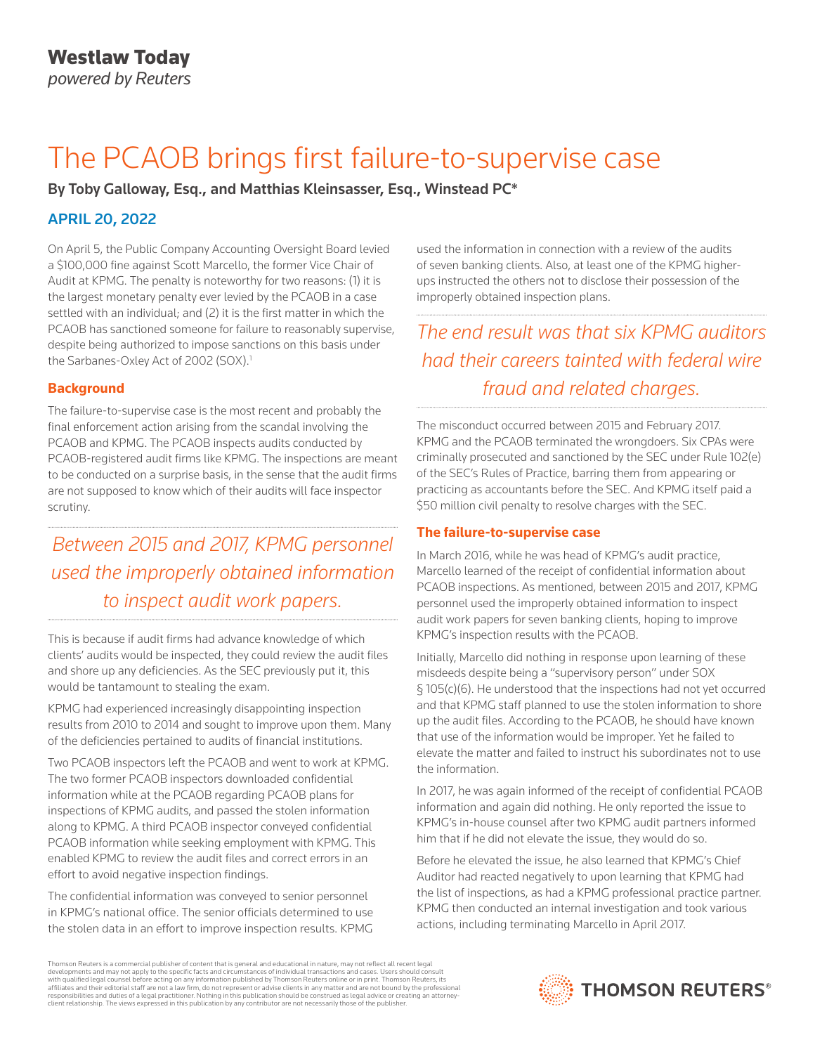# The PCAOB brings first failure-to-supervise case

By Toby Galloway, Esq., and Matthias Kleinsasser, Esq., Winstead PC\*

# APRIL 20, 2022

On April 5, the Public Company Accounting Oversight Board levied a \$100,000 fine against Scott Marcello, the former Vice Chair of Audit at KPMG. The penalty is noteworthy for two reasons: (1) it is the largest monetary penalty ever levied by the PCAOB in a case settled with an individual; and (2) it is the first matter in which the PCAOB has sanctioned someone for failure to reasonably supervise, despite being authorized to impose sanctions on this basis under the Sarbanes-Oxley Act of 2002 (SOX).<sup>1</sup>

### **Background**

The failure-to-supervise case is the most recent and probably the final enforcement action arising from the scandal involving the PCAOB and KPMG. The PCAOB inspects audits conducted by PCAOB-registered audit firms like KPMG. The inspections are meant to be conducted on a surprise basis, in the sense that the audit firms are not supposed to know which of their audits will face inspector scrutiny.

*Between 2015 and 2017, KPMG personnel used the improperly obtained information to inspect audit work papers.*

This is because if audit firms had advance knowledge of which clients' audits would be inspected, they could review the audit files and shore up any deficiencies. As the SEC previously put it, this would be tantamount to stealing the exam.

KPMG had experienced increasingly disappointing inspection results from 2010 to 2014 and sought to improve upon them. Many of the deficiencies pertained to audits of financial institutions.

Two PCAOB inspectors left the PCAOB and went to work at KPMG. The two former PCAOB inspectors downloaded confidential information while at the PCAOB regarding PCAOB plans for inspections of KPMG audits, and passed the stolen information along to KPMG. A third PCAOB inspector conveyed confidential PCAOB information while seeking employment with KPMG. This enabled KPMG to review the audit files and correct errors in an effort to avoid negative inspection findings.

The confidential information was conveyed to senior personnel in KPMG's national office. The senior officials determined to use the stolen data in an effort to improve inspection results. KPMG

used the information in connection with a review of the audits of seven banking clients. Also, at least one of the KPMG higherups instructed the others not to disclose their possession of the improperly obtained inspection plans.

# *The end result was that six KPMG auditors had their careers tainted with federal wire fraud and related charges.*

The misconduct occurred between 2015 and February 2017. KPMG and the PCAOB terminated the wrongdoers. Six CPAs were criminally prosecuted and sanctioned by the SEC under Rule 102(e) of the SEC's Rules of Practice, barring them from appearing or practicing as accountants before the SEC. And KPMG itself paid a \$50 million civil penalty to resolve charges with the SEC.

## **The failure-to-supervise case**

In March 2016, while he was head of KPMG's audit practice, Marcello learned of the receipt of confidential information about PCAOB inspections. As mentioned, between 2015 and 2017, KPMG personnel used the improperly obtained information to inspect audit work papers for seven banking clients, hoping to improve KPMG's inspection results with the PCAOB.

Initially, Marcello did nothing in response upon learning of these misdeeds despite being a "supervisory person" under SOX § 105(c)(6). He understood that the inspections had not yet occurred and that KPMG staff planned to use the stolen information to shore up the audit files. According to the PCAOB, he should have known that use of the information would be improper. Yet he failed to elevate the matter and failed to instruct his subordinates not to use the information.

In 2017, he was again informed of the receipt of confidential PCAOB information and again did nothing. He only reported the issue to KPMG's in-house counsel after two KPMG audit partners informed him that if he did not elevate the issue, they would do so.

Before he elevated the issue, he also learned that KPMG's Chief Auditor had reacted negatively to upon learning that KPMG had the list of inspections, as had a KPMG professional practice partner. KPMG then conducted an internal investigation and took various actions, including terminating Marcello in April 2017.

Thomson Reuters is a commercial publisher of content that is general and educational in nature, may not reflect all recent legal developments and may not apply to the specific facts and circumstances of individual transactions and cases. Users should consult<br>with qualified legal counsel before acting on any information published by Thomson Reuters o responsibilities and duties of a legal practitioner. Nothing in this publication should be construed as legal advice or creating an attorneyclient relationship. The views expressed in this publication by any contributor are not necessarily those of the publisher.